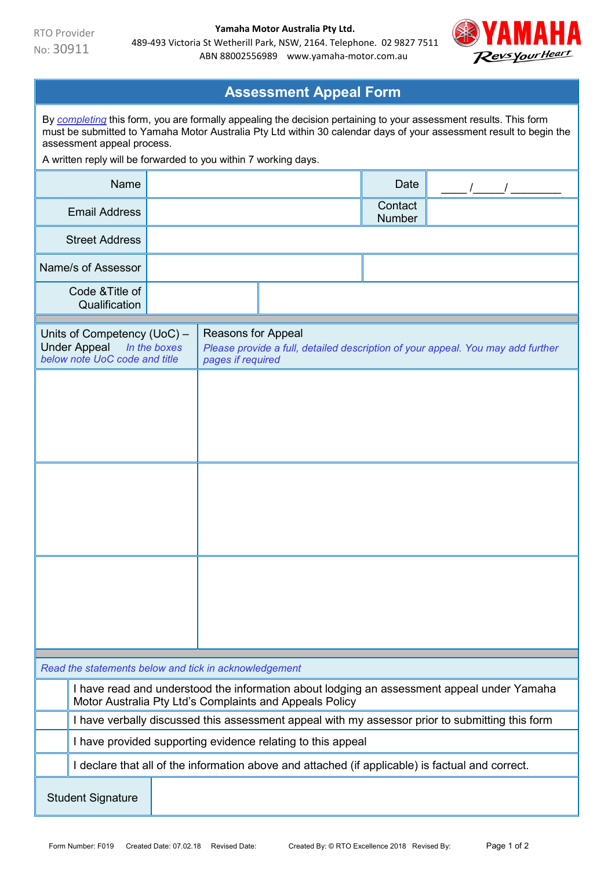

| <b>Assessment Appeal Form</b>                                                                                                                                                                                                                                                                                                            |                                                                                                                                                            |                                                                                                                                   |  |  |                   |  |  |  |  |  |
|------------------------------------------------------------------------------------------------------------------------------------------------------------------------------------------------------------------------------------------------------------------------------------------------------------------------------------------|------------------------------------------------------------------------------------------------------------------------------------------------------------|-----------------------------------------------------------------------------------------------------------------------------------|--|--|-------------------|--|--|--|--|--|
| By completing this form, you are formally appealing the decision pertaining to your assessment results. This form<br>must be submitted to Yamaha Motor Australia Pty Ltd within 30 calendar days of your assessment result to begin the<br>assessment appeal process.<br>A written reply will be forwarded to you within 7 working days. |                                                                                                                                                            |                                                                                                                                   |  |  |                   |  |  |  |  |  |
|                                                                                                                                                                                                                                                                                                                                          | Name                                                                                                                                                       |                                                                                                                                   |  |  |                   |  |  |  |  |  |
|                                                                                                                                                                                                                                                                                                                                          | <b>Email Address</b>                                                                                                                                       |                                                                                                                                   |  |  | Contact<br>Number |  |  |  |  |  |
|                                                                                                                                                                                                                                                                                                                                          | <b>Street Address</b>                                                                                                                                      |                                                                                                                                   |  |  |                   |  |  |  |  |  |
| Name/s of Assessor                                                                                                                                                                                                                                                                                                                       |                                                                                                                                                            |                                                                                                                                   |  |  |                   |  |  |  |  |  |
| Code & Title of<br>Qualification                                                                                                                                                                                                                                                                                                         |                                                                                                                                                            |                                                                                                                                   |  |  |                   |  |  |  |  |  |
| Units of Competency (UoC) -<br><b>Under Appeal</b><br>In the boxes<br>below note UoC code and title                                                                                                                                                                                                                                      |                                                                                                                                                            | <b>Reasons for Appeal</b><br>Please provide a full, detailed description of your appeal. You may add further<br>pages if required |  |  |                   |  |  |  |  |  |
|                                                                                                                                                                                                                                                                                                                                          |                                                                                                                                                            |                                                                                                                                   |  |  |                   |  |  |  |  |  |
|                                                                                                                                                                                                                                                                                                                                          |                                                                                                                                                            |                                                                                                                                   |  |  |                   |  |  |  |  |  |
|                                                                                                                                                                                                                                                                                                                                          |                                                                                                                                                            |                                                                                                                                   |  |  |                   |  |  |  |  |  |
| Read the statements below and tick in acknowledgement                                                                                                                                                                                                                                                                                    |                                                                                                                                                            |                                                                                                                                   |  |  |                   |  |  |  |  |  |
| I have read and understood the information about lodging an assessment appeal under Yamaha                                                                                                                                                                                                                                               |                                                                                                                                                            |                                                                                                                                   |  |  |                   |  |  |  |  |  |
|                                                                                                                                                                                                                                                                                                                                          | Motor Australia Pty Ltd's Complaints and Appeals Policy<br>I have verbally discussed this assessment appeal with my assessor prior to submitting this form |                                                                                                                                   |  |  |                   |  |  |  |  |  |
|                                                                                                                                                                                                                                                                                                                                          | I have provided supporting evidence relating to this appeal                                                                                                |                                                                                                                                   |  |  |                   |  |  |  |  |  |
|                                                                                                                                                                                                                                                                                                                                          | I declare that all of the information above and attached (if applicable) is factual and correct.                                                           |                                                                                                                                   |  |  |                   |  |  |  |  |  |
| <b>Student Signature</b>                                                                                                                                                                                                                                                                                                                 |                                                                                                                                                            |                                                                                                                                   |  |  |                   |  |  |  |  |  |